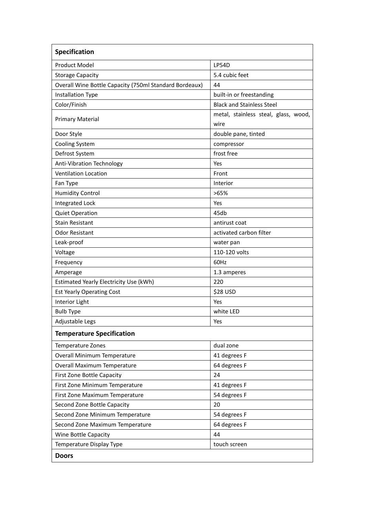| <b>Specification</b>                                   |                                              |
|--------------------------------------------------------|----------------------------------------------|
| <b>Product Model</b>                                   | <b>LP54D</b>                                 |
| <b>Storage Capacity</b>                                | 5.4 cubic feet                               |
| Overall Wine Bottle Capacity (750ml Standard Bordeaux) | 44                                           |
| <b>Installation Type</b>                               | built-in or freestanding                     |
| Color/Finish                                           | <b>Black and Stainless Steel</b>             |
| <b>Primary Material</b>                                | metal, stainless steal, glass, wood,<br>wire |
| Door Style                                             | double pane, tinted                          |
| <b>Cooling System</b>                                  | compressor                                   |
| Defrost System                                         | frost free                                   |
| Anti-Vibration Technology                              | Yes                                          |
| <b>Ventilation Location</b>                            | Front                                        |
| Fan Type                                               | Interior                                     |
| <b>Humidity Control</b>                                | >65%                                         |
| <b>Integrated Lock</b>                                 | Yes                                          |
| <b>Quiet Operation</b>                                 | 45db                                         |
| <b>Stain Resistant</b>                                 | antirust coat                                |
| <b>Odor Resistant</b>                                  | activated carbon filter                      |
| Leak-proof                                             | water pan                                    |
| Voltage                                                | 110-120 volts                                |
| Frequency                                              | 60Hz                                         |
| Amperage                                               | 1.3 amperes                                  |
| Estimated Yearly Electricity Use (kWh)                 | 220                                          |
| <b>Est Yearly Operating Cost</b>                       | \$28 USD                                     |
| Interior Light                                         | Yes                                          |
| <b>Bulb Type</b>                                       | white LED                                    |
| Adjustable Legs                                        | Yes                                          |
| <b>Temperature Specification</b>                       |                                              |
| Temperature Zones                                      | dual zone                                    |
| <b>Overall Minimum Temperature</b>                     | 41 degrees F                                 |
| Overall Maximum Temperature                            | 64 degrees F                                 |
| First Zone Bottle Capacity                             | 24                                           |
| First Zone Minimum Temperature                         | 41 degrees F                                 |
| First Zone Maximum Temperature                         | 54 degrees F                                 |
| Second Zone Bottle Capacity                            | 20                                           |
| Second Zone Minimum Temperature                        | 54 degrees F                                 |
| Second Zone Maximum Temperature                        | 64 degrees F                                 |
| Wine Bottle Capacity                                   | 44                                           |
| Temperature Display Type                               | touch screen                                 |
| <b>Doors</b>                                           |                                              |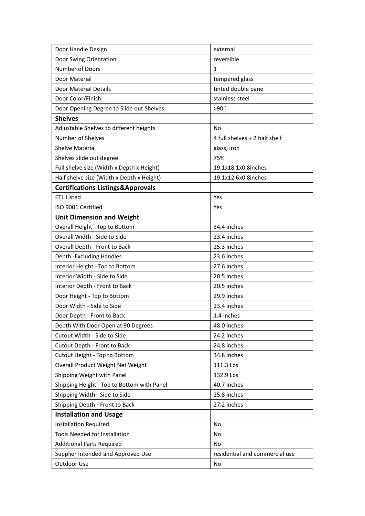| Door Handle Design                           | external                       |
|----------------------------------------------|--------------------------------|
| Door Swing Orientation                       | reversible                     |
| Number of Doors                              | 1                              |
| Door Material                                | tempered glass                 |
| Door Material Details                        | tinted double pane             |
| Door Color/Finish                            | stainless steel                |
| Door Opening Degree to Slide out Shelves     | $>90^\circ$                    |
| <b>Shelves</b>                               |                                |
| Adjustable Shelves to different heights      | <b>No</b>                      |
| Number of Shelves                            | 4 full shelves + 2 half shelf  |
| <b>Shelve Material</b>                       | glass, iron                    |
| Shelves slide out degree                     | 75%                            |
| Full shelve size (Width x Depth x Height)    | 19.1x18.1x0.8inches            |
| Half shelve size (Width x Depth x Height)    | 19.1x12.6x0.8inches            |
| <b>Certifications Listings&amp;Approvals</b> |                                |
| <b>ETL Listed</b>                            | Yes                            |
| ISO 9001 Certified                           | Yes                            |
| <b>Unit Dimension and Weight</b>             |                                |
| Overall Height - Top to Bottom               | 34.4 inches                    |
| Overall Width - Side to Side                 | 23.4 inches                    |
| Overall Depth - Front to Back                | 25.3 inches                    |
| Depth - Excluding Handles                    | 23.6 inches                    |
| Interior Height - Top to Bottom              | 27.6 inches                    |
| Interior Width - Side to Side                | 20.5 inches                    |
| Interior Depth - Front to Back               | 20.5 inches                    |
| Door Height - Top to Bottom                  | 29.9 inches                    |
| Door Width - Side to Side                    | 23.4 inches                    |
| Door Depth - Front to Back                   | 1.4 inches                     |
| Depth With Door Open at 90 Degrees           | 48.0 inches                    |
| Cutout Width - Side to Side                  | 24.2 inches                    |
| Cutout Depth - Front to Back                 | 24.8 inches                    |
| Cutout Height - Top to Bottom                | 34.8 inches                    |
| Overall Product Weight Net Weight            | 111.3 Lbs                      |
| Shipping Weight with Panel                   | 132.9 Lbs                      |
| Shipping Height - Top to Bottom with Panel   | 40.7 inches                    |
| Shipping Width - Side to Side                | 25.8 inches                    |
| Shipping Depth - Front to Back               | 27.2 inches                    |
| <b>Installation and Usage</b>                |                                |
| <b>Installation Required</b>                 | No                             |
| Tools Needed for Installation                | No                             |
| <b>Additional Parts Required</b>             | No                             |
| Supplier Intended and Approved Use           | residential and commercial use |
| Outdoor Use                                  | No                             |